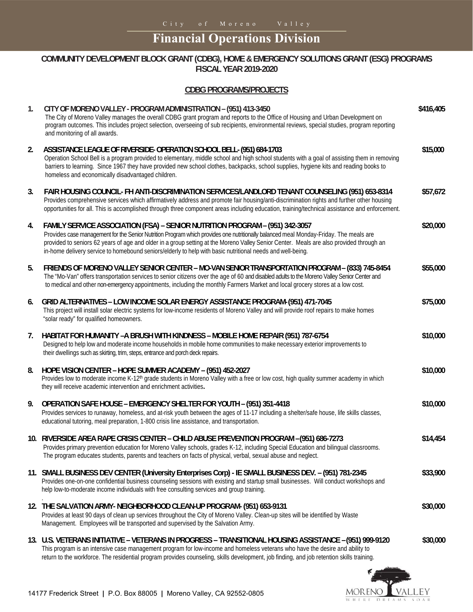## **Financial Operations Division**

## **COMMUNITY DEVELOPMENT BLOCK GRANT (CDBG), HOME & EMERGENCY SOLUTIONS GRANT (ESG) PROGRAMS FISCAL YEAR 2019-2020**

## **CDBG PROGRAMS/PROJECTS**

| $\mathbf{1}$ . | CITY OF MORENO VALLEY - PROGRAM ADMINISTRATION - (951) 413-3450<br>The City of Moreno Valley manages the overall CDBG grant program and reports to the Office of Housing and Urban Development on<br>program outcomes. This includes project selection, overseeing of sub recipients, environmental reviews, special studies, program reporting<br>and monitoring of all awards.                                                                                               | \$416,405 |
|----------------|--------------------------------------------------------------------------------------------------------------------------------------------------------------------------------------------------------------------------------------------------------------------------------------------------------------------------------------------------------------------------------------------------------------------------------------------------------------------------------|-----------|
| 2.             | ASSISTANCE LEAGUE OF RIVERSIDE-OPERATION SCHOOL BELL- (951) 684-1703<br>Operation School Bell is a program provided to elementary, middle school and high school students with a goal of assisting them in removing<br>barriers to learning. Since 1967 they have provided new school clothes, backpacks, school supplies, hygiene kits and reading books to<br>homeless and economically disadvantaged children.                                                              | \$15,000  |
| 3.             | FAIR HOUSING COUNCIL- FH ANTI-DISCRIMINATION SERVICES/LANDLORD TENANT COUNSELING (951) 653-8314<br>Provides comprehensive services which affirmatively address and promote fair housing/anti-discrimination rights and further other housing<br>opportunities for all. This is accomplished through three component areas including education, training/technical assistance and enforcement.                                                                                  | \$57,672  |
| 4.             | FAMILY SERVICE ASSOCIATION (FSA) - SENIOR NUTRITION PROGRAM - (951) 342-3057<br>Provides case management for the Senior Nutrition Program which provides one nutritionally balanced meal Monday-Friday. The meals are<br>provided to seniors 62 years of age and older in a group setting at the Moreno Valley Senior Center. Meals are also provided through an<br>in-home delivery service to homebound seniors/elderly to help with basic nutritional needs and well-being. | \$20,000  |
| 5.             | FRIENDS OF MORENO VALLEY SENIOR CENTER - MO-VAN SENIOR TRANSPORTATION PROGRAM - (833) 745-8454<br>The "Mo-Van" offers transportation services to senior citizens over the age of 60 and disabled adults to the Moreno Valley Senior Center and<br>to medical and other non-emergency appointments, including the monthly Farmers Market and local grocery stores at a low cost.                                                                                                | \$55,000  |
| 6.             | GRID ALTERNATIVES - LOW INCOME SOLAR ENERGY ASSISTANCE PROGRAM- (951) 471-7045<br>This project will install solar electric systems for low-income residents of Moreno Valley and will provide roof repairs to make homes<br>"solar ready" for qualified homeowners.                                                                                                                                                                                                            | \$75,000  |
| 7.             | HABITAT FOR HUMANITY -A BRUSH WITH KINDNESS - MOBILE HOME REPAIR (951) 787-6754<br>Designed to help low and moderate income households in mobile home communities to make necessary exterior improvements to<br>their dwellings such as skirting, trim, steps, entrance and porch deck repairs.                                                                                                                                                                                | \$10,000  |
| 8.             | HOPE VISION CENTER - HOPE SUMMER ACADEMY - (951) 452-2027<br>Provides low to moderate income K-12 <sup>th</sup> grade students in Moreno Valley with a free or low cost, high quality summer academy in which<br>they will receive academic intervention and enrichment activities.                                                                                                                                                                                            | \$10,000  |
| 9.             | OPERATION SAFE HOUSE - EMERGENCY SHELTER FOR YOUTH - (951) 351-4418<br>Provides services to runaway, homeless, and at-risk youth between the ages of 11-17 including a shelter/safe house, life skills classes,<br>educational tutoring, meal preparation, 1-800 crisis line assistance, and transportation.                                                                                                                                                                   | \$10,000  |
|                | 10. RIVERSIDE AREA RAPE CRISIS CENTER - CHILD ABUSE PREVENTION PROGRAM - (951) 686-7273<br>Provides primary prevention education for Moreno Valley schools, grades K-12, including Special Education and bilingual classrooms<br>The program educates students, parents and teachers on facts of physical, verbal, sexual abuse and neglect.                                                                                                                                   | \$14,454  |
|                | 11. SMALL BUSINESS DEV CENTER (University Enterprises Corp) - IE SMALL BUSINESS DEV. - (951) 781-2345<br>Provides one-on-one confidential business counseling sessions with existing and startup small businesses. Will conduct workshops and<br>help low-to-moderate income individuals with free consulting services and group training.                                                                                                                                     | \$33,900  |
|                | 12. THE SALVATION ARMY- NEIGHBORHOOD CLEAN-UP PROGRAM- (951) 653-9131<br>Provides at least 90 days of clean up services throughout the City of Moreno Valley. Clean-up sites will be identified by Waste<br>Management. Employees will be transported and supervised by the Salvation Army.                                                                                                                                                                                    | \$30,000  |
|                | 13. U.S. VETERANS INITIATIVE - VETERANS IN PROGRESS - TRANSITIONAL HOUSING ASSISTANCE - (951) 999-9120<br>This program is an intensive case management program for low-income and homeless veterans who have the desire and ability to<br>return to the workforce. The residential program provides counseling, skills development, job finding, and job retention skills training.                                                                                            | \$30,000  |